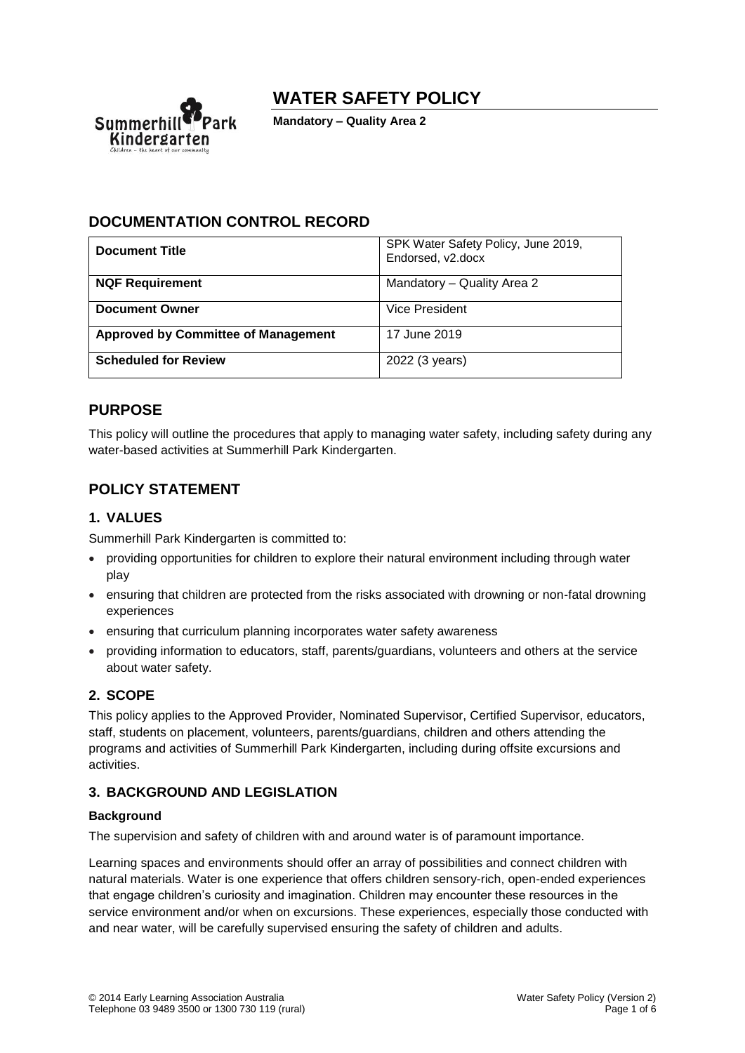

# **WATER SAFETY POLICY**

**Mandatory – Quality Area 2**

## **DOCUMENTATION CONTROL RECORD**

| <b>Document Title</b>                      | SPK Water Safety Policy, June 2019,<br>Endorsed, v2.docx |
|--------------------------------------------|----------------------------------------------------------|
| <b>NQF Requirement</b>                     | Mandatory - Quality Area 2                               |
| <b>Document Owner</b>                      | Vice President                                           |
| <b>Approved by Committee of Management</b> | 17 June 2019                                             |
| <b>Scheduled for Review</b>                | 2022 (3 years)                                           |

## **PURPOSE**

This policy will outline the procedures that apply to managing water safety, including safety during any water-based activities at Summerhill Park Kindergarten.

## **POLICY STATEMENT**

### **1. VALUES**

Summerhill Park Kindergarten is committed to:

- providing opportunities for children to explore their natural environment including through water play
- ensuring that children are protected from the risks associated with drowning or non-fatal drowning experiences
- ensuring that curriculum planning incorporates water safety awareness
- providing information to educators, staff, parents/guardians, volunteers and others at the service about water safety.

### **2. SCOPE**

This policy applies to the Approved Provider, Nominated Supervisor, Certified Supervisor, educators, staff, students on placement, volunteers, parents/guardians, children and others attending the programs and activities of Summerhill Park Kindergarten, including during offsite excursions and activities.

### **3. BACKGROUND AND LEGISLATION**

### **Background**

The supervision and safety of children with and around water is of paramount importance.

Learning spaces and environments should offer an array of possibilities and connect children with natural materials. Water is one experience that offers children sensory-rich, open-ended experiences that engage children's curiosity and imagination. Children may encounter these resources in the service environment and/or when on excursions. These experiences, especially those conducted with and near water, will be carefully supervised ensuring the safety of children and adults.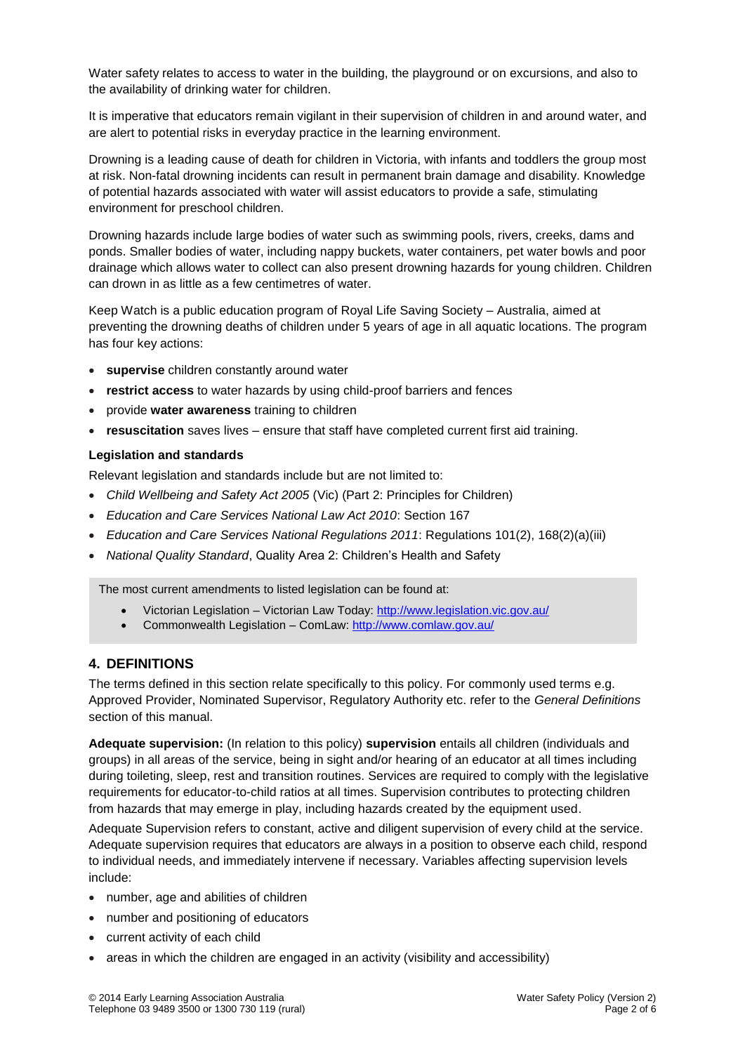Water safety relates to access to water in the building, the playground or on excursions, and also to the availability of drinking water for children.

It is imperative that educators remain vigilant in their supervision of children in and around water, and are alert to potential risks in everyday practice in the learning environment.

Drowning is a leading cause of death for children in Victoria, with infants and toddlers the group most at risk. Non-fatal drowning incidents can result in permanent brain damage and disability. Knowledge of potential hazards associated with water will assist educators to provide a safe, stimulating environment for preschool children.

Drowning hazards include large bodies of water such as swimming pools, rivers, creeks, dams and ponds. Smaller bodies of water, including nappy buckets, water containers, pet water bowls and poor drainage which allows water to collect can also present drowning hazards for young children. Children can drown in as little as a few centimetres of water.

Keep Watch is a public education program of Royal Life Saving Society – Australia, aimed at preventing the drowning deaths of children under 5 years of age in all aquatic locations. The program has four key actions:

- **supervise** children constantly around water
- **restrict access** to water hazards by using child-proof barriers and fences
- provide **water awareness** training to children
- **resuscitation** saves lives ensure that staff have completed current first aid training.

#### **Legislation and standards**

Relevant legislation and standards include but are not limited to:

- *Child Wellbeing and Safety Act 2005* (Vic) (Part 2: Principles for Children)
- *Education and Care Services National Law Act 2010*: Section 167
- *Education and Care Services National Regulations 2011*: Regulations 101(2), 168(2)(a)(iii)
- *National Quality Standard*, Quality Area 2: Children's Health and Safety

The most current amendments to listed legislation can be found at:

- Victorian Legislation Victorian Law Today:<http://www.legislation.vic.gov.au/>
- Commonwealth Legislation ComLaw:<http://www.comlaw.gov.au/>

#### **4. DEFINITIONS**

The terms defined in this section relate specifically to this policy. For commonly used terms e.g. Approved Provider, Nominated Supervisor, Regulatory Authority etc. refer to the *General Definitions* section of this manual.

**Adequate supervision:** (In relation to this policy) **supervision** entails all children (individuals and groups) in all areas of the service, being in sight and/or hearing of an educator at all times including during toileting, sleep, rest and transition routines. Services are required to comply with the legislative requirements for educator-to-child ratios at all times. Supervision contributes to protecting children from hazards that may emerge in play, including hazards created by the equipment used.

Adequate Supervision refers to constant, active and diligent supervision of every child at the service. Adequate supervision requires that educators are always in a position to observe each child, respond to individual needs, and immediately intervene if necessary. Variables affecting supervision levels include:

- number, age and abilities of children
- number and positioning of educators
- current activity of each child
- areas in which the children are engaged in an activity (visibility and accessibility)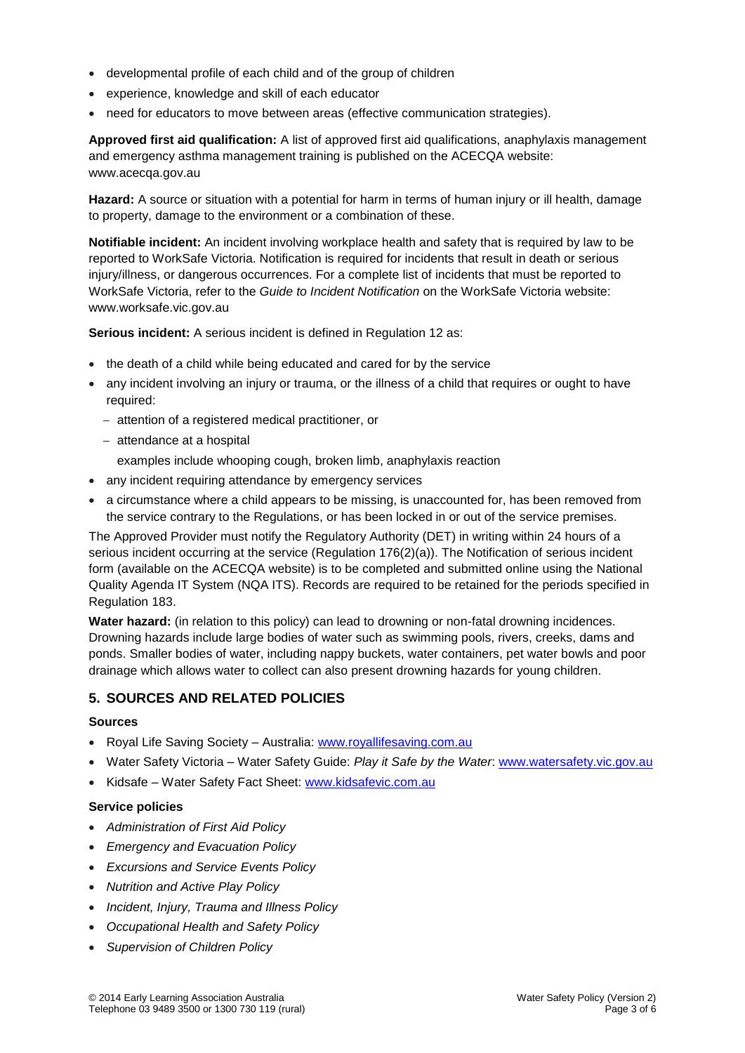- developmental profile of each child and of the group of children
- experience, knowledge and skill of each educator
- need for educators to move between areas (effective communication strategies).

**Approved first aid qualification:** A list of approved first aid qualifications, anaphylaxis management and emergency asthma management training is published on the ACECQA website: www.acecqa.gov.au

**Hazard:** A source or situation with a potential for harm in terms of human injury or ill health, damage to property, damage to the environment or a combination of these.

**Notifiable incident:** An incident involving workplace health and safety that is required by law to be reported to WorkSafe Victoria. Notification is required for incidents that result in death or serious injury/illness, or dangerous occurrences. For a complete list of incidents that must be reported to WorkSafe Victoria, refer to the *Guide to Incident Notification* on the WorkSafe Victoria website: www.worksafe.vic.gov.au

**Serious incident:** A serious incident is defined in Regulation 12 as:

- the death of a child while being educated and cared for by the service
- any incident involving an injury or trauma, or the illness of a child that requires or ought to have required:
	- − attention of a registered medical practitioner, or
	- − attendance at a hospital
		- examples include whooping cough, broken limb, anaphylaxis reaction
- any incident requiring attendance by emergency services
- a circumstance where a child appears to be missing, is unaccounted for, has been removed from the service contrary to the Regulations, or has been locked in or out of the service premises.

The Approved Provider must notify the Regulatory Authority (DET) in writing within 24 hours of a serious incident occurring at the service (Regulation 176(2)(a)). The Notification of serious incident form (available on the ACECQA website) is to be completed and submitted online using the National Quality Agenda IT System (NQA ITS). Records are required to be retained for the periods specified in Regulation 183.

**Water hazard:** (in relation to this policy) can lead to drowning or non-fatal drowning incidences. Drowning hazards include large bodies of water such as swimming pools, rivers, creeks, dams and ponds. Smaller bodies of water, including nappy buckets, water containers, pet water bowls and poor drainage which allows water to collect can also present drowning hazards for young children.

### **5. SOURCES AND RELATED POLICIES**

#### **Sources**

- Royal Life Saving Society Australia: [www.royallifesaving.com.au](http://www.royallifesaving.com.au/)
- Water Safety Victoria Water Safety Guide: *Play it Safe by the Water*: [www.watersafety.vic.gov.au](http://www.watersafety.vic.gov.au/)
- Kidsafe Water Safety Fact Sheet: [www.kidsafevic.com.au](http://www.kidsafevic.com.au/)

#### **Service policies**

- *Administration of First Aid Policy*
- *Emergency and Evacuation Policy*
- *Excursions and Service Events Policy*
- *Nutrition and Active Play Policy*
- *Incident, Injury, Trauma and Illness Policy*
- *Occupational Health and Safety Policy*
- *Supervision of Children Policy*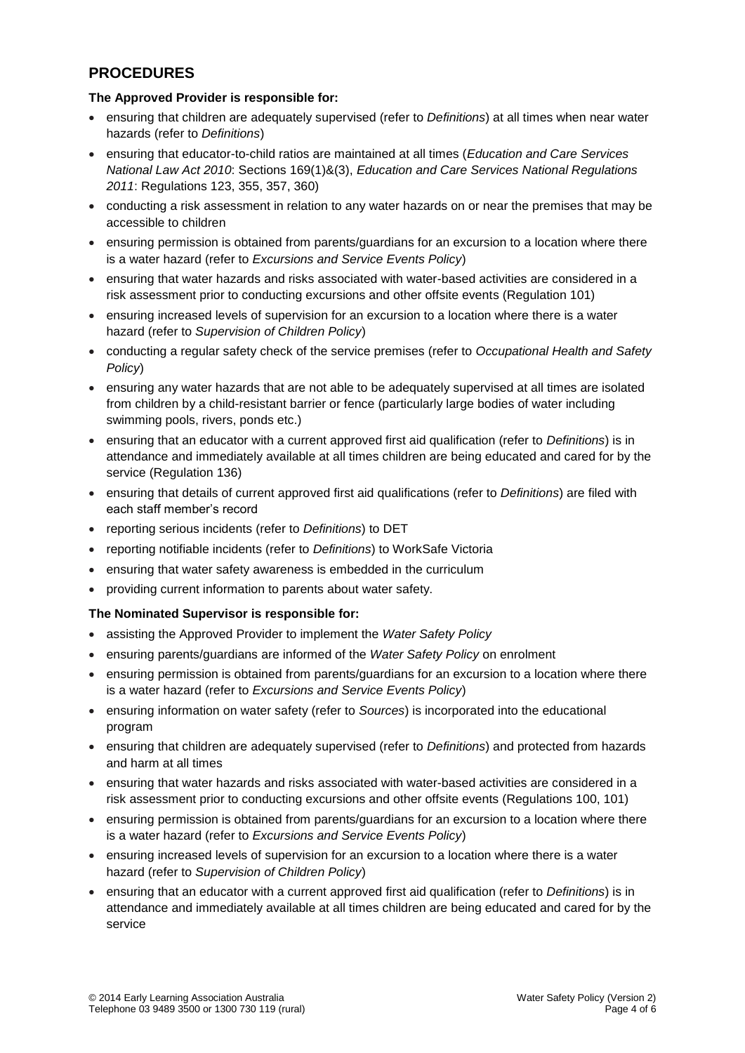## **PROCEDURES**

### **The Approved Provider is responsible for:**

- ensuring that children are adequately supervised (refer to *Definitions*) at all times when near water hazards (refer to *Definitions*)
- ensuring that educator-to-child ratios are maintained at all times (*Education and Care Services National Law Act 2010*: Sections 169(1)&(3), *Education and Care Services National Regulations 2011*: Regulations 123, 355, 357, 360)
- conducting a risk assessment in relation to any water hazards on or near the premises that may be accessible to children
- ensuring permission is obtained from parents/guardians for an excursion to a location where there is a water hazard (refer to *Excursions and Service Events Policy*)
- ensuring that water hazards and risks associated with water-based activities are considered in a risk assessment prior to conducting excursions and other offsite events (Regulation 101)
- ensuring increased levels of supervision for an excursion to a location where there is a water hazard (refer to *Supervision of Children Policy*)
- conducting a regular safety check of the service premises (refer to *Occupational Health and Safety Policy*)
- ensuring any water hazards that are not able to be adequately supervised at all times are isolated from children by a child-resistant barrier or fence (particularly large bodies of water including swimming pools, rivers, ponds etc.)
- ensuring that an educator with a current approved first aid qualification (refer to *Definitions*) is in attendance and immediately available at all times children are being educated and cared for by the service (Regulation 136)
- ensuring that details of current approved first aid qualifications (refer to *Definitions*) are filed with each staff member's record
- reporting serious incidents (refer to *Definitions*) to DET
- reporting notifiable incidents (refer to *Definitions*) to WorkSafe Victoria
- ensuring that water safety awareness is embedded in the curriculum
- providing current information to parents about water safety.

#### **The Nominated Supervisor is responsible for:**

- assisting the Approved Provider to implement the *Water Safety Policy*
- ensuring parents/guardians are informed of the *Water Safety Policy* on enrolment
- ensuring permission is obtained from parents/guardians for an excursion to a location where there is a water hazard (refer to *Excursions and Service Events Policy*)
- ensuring information on water safety (refer to *Sources*) is incorporated into the educational program
- ensuring that children are adequately supervised (refer to *Definitions*) and protected from hazards and harm at all times
- ensuring that water hazards and risks associated with water-based activities are considered in a risk assessment prior to conducting excursions and other offsite events (Regulations 100, 101)
- ensuring permission is obtained from parents/guardians for an excursion to a location where there is a water hazard (refer to *Excursions and Service Events Policy*)
- ensuring increased levels of supervision for an excursion to a location where there is a water hazard (refer to *Supervision of Children Policy*)
- ensuring that an educator with a current approved first aid qualification (refer to *Definitions*) is in attendance and immediately available at all times children are being educated and cared for by the service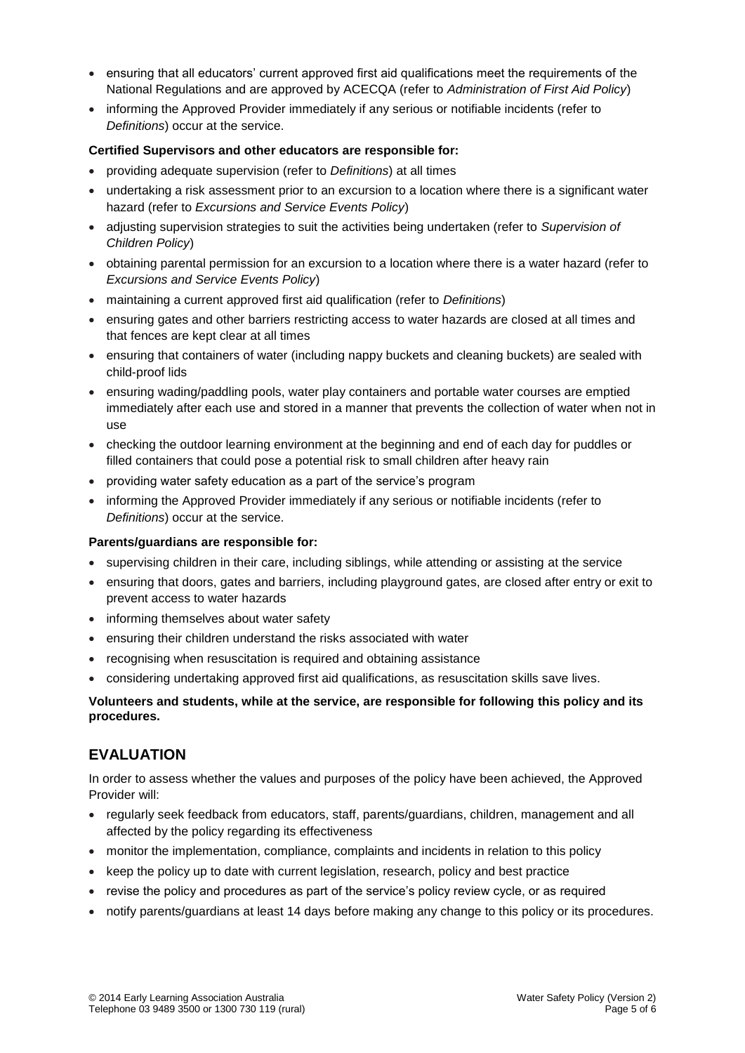- ensuring that all educators' current approved first aid qualifications meet the requirements of the National Regulations and are approved by ACECQA (refer to *Administration of First Aid Policy*)
- informing the Approved Provider immediately if any serious or notifiable incidents (refer to *Definitions*) occur at the service.

#### **Certified Supervisors and other educators are responsible for:**

- providing adequate supervision (refer to *Definitions*) at all times
- undertaking a risk assessment prior to an excursion to a location where there is a significant water hazard (refer to *Excursions and Service Events Policy*)
- adjusting supervision strategies to suit the activities being undertaken (refer to *Supervision of Children Policy*)
- obtaining parental permission for an excursion to a location where there is a water hazard (refer to *Excursions and Service Events Policy*)
- maintaining a current approved first aid qualification (refer to *Definitions*)
- ensuring gates and other barriers restricting access to water hazards are closed at all times and that fences are kept clear at all times
- ensuring that containers of water (including nappy buckets and cleaning buckets) are sealed with child-proof lids
- ensuring wading/paddling pools, water play containers and portable water courses are emptied immediately after each use and stored in a manner that prevents the collection of water when not in use
- checking the outdoor learning environment at the beginning and end of each day for puddles or filled containers that could pose a potential risk to small children after heavy rain
- providing water safety education as a part of the service's program
- informing the Approved Provider immediately if any serious or notifiable incidents (refer to *Definitions*) occur at the service.

#### **Parents/guardians are responsible for:**

- supervising children in their care, including siblings, while attending or assisting at the service
- ensuring that doors, gates and barriers, including playground gates, are closed after entry or exit to prevent access to water hazards
- informing themselves about water safety
- ensuring their children understand the risks associated with water
- recognising when resuscitation is required and obtaining assistance
- considering undertaking approved first aid qualifications, as resuscitation skills save lives.

#### **Volunteers and students, while at the service, are responsible for following this policy and its procedures.**

## **EVALUATION**

In order to assess whether the values and purposes of the policy have been achieved, the Approved Provider will:

- regularly seek feedback from educators, staff, parents/guardians, children, management and all affected by the policy regarding its effectiveness
- monitor the implementation, compliance, complaints and incidents in relation to this policy
- keep the policy up to date with current legislation, research, policy and best practice
- revise the policy and procedures as part of the service's policy review cycle, or as required
- notify parents/guardians at least 14 days before making any change to this policy or its procedures.